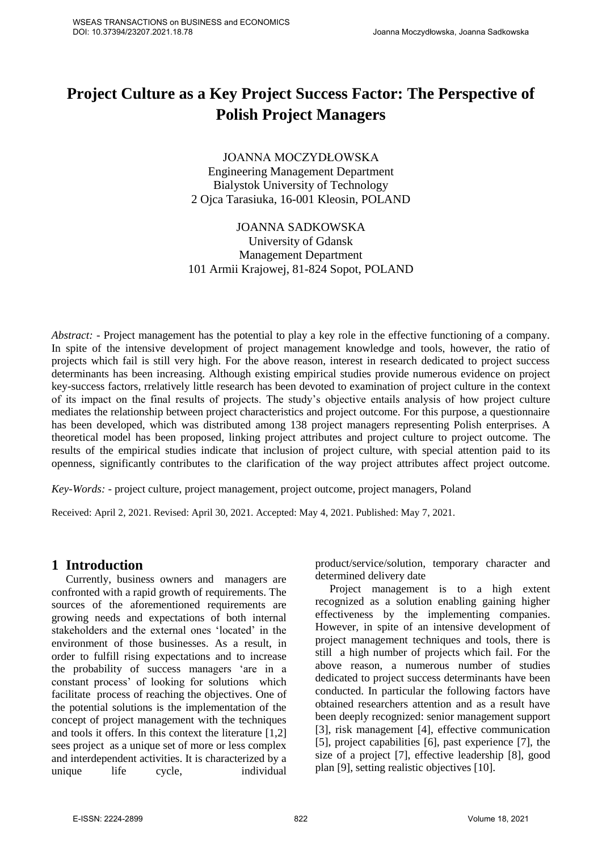# **Project Culture as a Key Project Success Factor: The Perspective of Polish Project Managers**

JOANNA MOCZYDŁOWSKA Engineering Management Department Bialystok University of Technology 2 Ojca Tarasiuka, 16-001 Kleosin, POLAND

# JOANNA SADKOWSKA University of Gdansk Management Department 101 Armii Krajowej, 81-824 Sopot, POLAND

*Abstract: -* Project management has the potential to play a key role in the effective functioning of a company. In spite of the intensive development of project management knowledge and tools, however, the ratio of projects which fail is still very high. For the above reason, interest in research dedicated to project success determinants has been increasing. Although existing empirical studies provide numerous evidence on project key-success factors, rrelatively little research has been devoted to examination of project culture in the context of its impact on the final results of projects. The study's objective entails analysis of how project culture mediates the relationship between project characteristics and project outcome. For this purpose, a questionnaire has been developed, which was distributed among 138 project managers representing Polish enterprises. A theoretical model has been proposed, linking project attributes and project culture to project outcome. The results of the empirical studies indicate that inclusion of project culture, with special attention paid to its openness, significantly contributes to the clarification of the way project attributes affect project outcome.

*Key-Words: -* project culture, project management, project outcome, project managers, Poland

Received: April 2, 2021. Revised: April 30, 2021. Accepted: May 4, 2021. Published: May 7, 2021.

# **1 Introduction**

Currently, business owners and managers are confronted with a rapid growth of requirements. The sources of the aforementioned requirements are growing needs and expectations of both internal stakeholders and the external ones 'located' in the environment of those businesses. As a result, in order to fulfill rising expectations and to increase the probability of success managers 'are in a constant process' of looking for solutions which facilitate process of reaching the objectives. One of the potential solutions is the implementation of the concept of project management with the techniques and tools it offers. In this context the literature [1,2] sees project as a unique set of more or less complex and interdependent activities. It is characterized by a unique life cycle, individual product/service/solution, temporary character and determined delivery date

Project management is to a high extent recognized as a solution enabling gaining higher effectiveness by the implementing companies. However, in spite of an intensive development of project management techniques and tools, there is still a high number of projects which fail. For the above reason, a numerous number of studies dedicated to project success determinants have been conducted. In particular the following factors have obtained researchers attention and as a result have been deeply recognized: senior management support [3], risk management [4], effective communication [5], project capabilities [6], past experience [7], the size of a project [7], effective leadership [8], good plan [9], setting realistic objectives [10].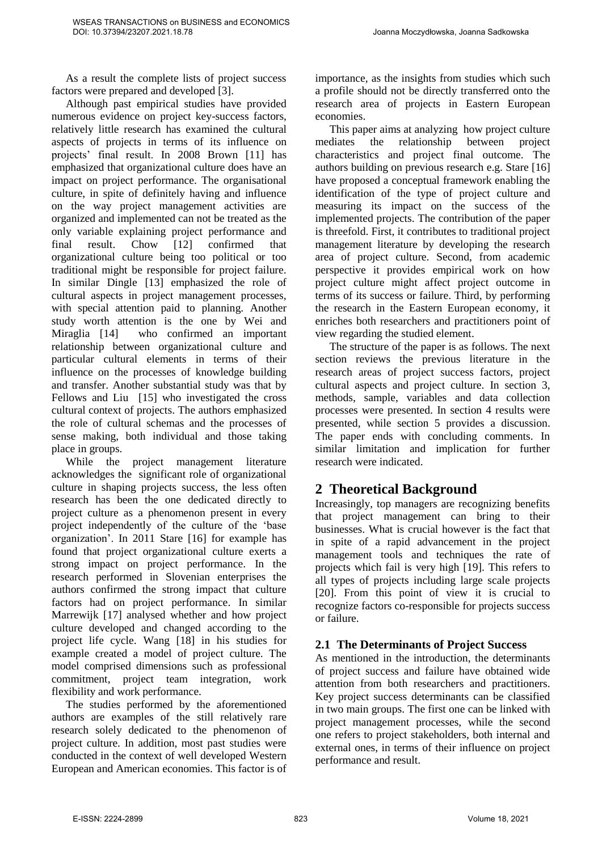As a result the complete lists of project success factors were prepared and developed [3].

Although past empirical studies have provided numerous evidence on project key-success factors, relatively little research has examined the cultural aspects of projects in terms of its influence on projects' final result. In 2008 Brown [11] has emphasized that organizational culture does have an impact on project performance. The organisational culture, in spite of definitely having and influence on the way project management activities are organized and implemented can not be treated as the only variable explaining project performance and final result. Chow [12] confirmed that organizational culture being too political or too traditional might be responsible for project failure. In similar Dingle [13] emphasized the role of cultural aspects in project management processes, with special attention paid to planning. Another study worth attention is the one by Wei and Miraglia [14] who confirmed an important relationship between organizational culture and particular cultural elements in terms of their influence on the processes of knowledge building and transfer. Another substantial study was that by Fellows and Liu [15] who investigated the cross cultural context of projects. The authors emphasized the role of cultural schemas and the processes of sense making, both individual and those taking place in groups.

While the project management literature acknowledges the significant role of organizational culture in shaping projects success, the less often research has been the one dedicated directly to project culture as a phenomenon present in every project independently of the culture of the 'base organization'. In 2011 Stare [16] for example has found that project organizational culture exerts a strong impact on project performance. In the research performed in Slovenian enterprises the authors confirmed the strong impact that culture factors had on project performance. In similar Marrewijk [17] analysed whether and how project culture developed and changed according to the project life cycle. Wang [18] in his studies for example created a model of project culture. The model comprised dimensions such as professional commitment, project team integration, work flexibility and work performance.

The studies performed by the aforementioned authors are examples of the still relatively rare research solely dedicated to the phenomenon of project culture. In addition, most past studies were conducted in the context of well developed Western European and American economies. This factor is of importance, as the insights from studies which such a profile should not be directly transferred onto the research area of projects in Eastern European economies.

This paper aims at analyzing how project culture mediates the relationship between project characteristics and project final outcome. The authors building on previous research e.g. Stare [16] have proposed a conceptual framework enabling the identification of the type of project culture and measuring its impact on the success of the implemented projects. The contribution of the paper is threefold. First, it contributes to traditional project management literature by developing the research area of project culture. Second, from academic perspective it provides empirical work on how project culture might affect project outcome in terms of its success or failure. Third, by performing the research in the Eastern European economy, it enriches both researchers and practitioners point of view regarding the studied element.

The structure of the paper is as follows. The next section reviews the previous literature in the research areas of project success factors, project cultural aspects and project culture. In section 3, methods, sample, variables and data collection processes were presented. In section 4 results were presented, while section 5 provides a discussion. The paper ends with concluding comments. In similar limitation and implication for further research were indicated.

# **2 Theoretical Background**

Increasingly, top managers are recognizing benefits that project management can bring to their businesses. What is crucial however is the fact that in spite of a rapid advancement in the project management tools and techniques the rate of projects which fail is very high [19]. This refers to all types of projects including large scale projects [20]. From this point of view it is crucial to recognize factors co-responsible for projects success or failure.

# **2.1 The Determinants of Project Success**

As mentioned in the introduction, the determinants of project success and failure have obtained wide attention from both researchers and practitioners. Key project success determinants can be classified in two main groups. The first one can be linked with project management processes, while the second one refers to project stakeholders, both internal and external ones, in terms of their influence on project performance and result.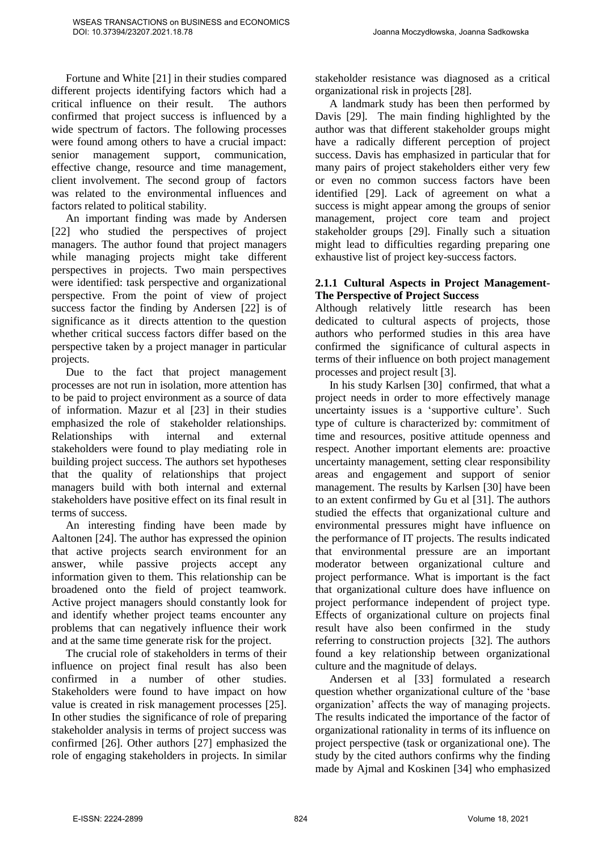Fortune and White [21] in their studies compared different projects identifying factors which had a critical influence on their result. The authors confirmed that project success is influenced by a wide spectrum of factors. The following processes were found among others to have a crucial impact: senior management support, communication, effective change, resource and time management, client involvement. The second group of factors was related to the environmental influences and factors related to political stability.

An important finding was made by Andersen [22] who studied the perspectives of project managers. The author found that project managers while managing projects might take different perspectives in projects. Two main perspectives were identified: task perspective and organizational perspective. From the point of view of project success factor the finding by Andersen [22] is of significance as it directs attention to the question whether critical success factors differ based on the perspective taken by a project manager in particular projects.

Due to the fact that project management processes are not run in isolation, more attention has to be paid to project environment as a source of data of information. Mazur et al [23] in their studies emphasized the role of stakeholder relationships. Relationships with internal and external stakeholders were found to play mediating role in building project success. The authors set hypotheses that the quality of relationships that project managers build with both internal and external stakeholders have positive effect on its final result in terms of success.

An interesting finding have been made by Aaltonen [24]. The author has expressed the opinion that active projects search environment for an answer, while passive projects accept any information given to them. This relationship can be broadened onto the field of project teamwork. Active project managers should constantly look for and identify whether project teams encounter any problems that can negatively influence their work and at the same time generate risk for the project.

The crucial role of stakeholders in terms of their influence on project final result has also been confirmed in a number of other studies. Stakeholders were found to have impact on how value is created in risk management processes [25]. In other studies the significance of role of preparing stakeholder analysis in terms of project success was confirmed [26]. Other authors [27] emphasized the role of engaging stakeholders in projects. In similar stakeholder resistance was diagnosed as a critical organizational risk in projects [28].

A landmark study has been then performed by Davis [29]. The main finding highlighted by the author was that different stakeholder groups might have a radically different perception of project success. Davis has emphasized in particular that for many pairs of project stakeholders either very few or even no common success factors have been identified [29]. Lack of agreement on what a success is might appear among the groups of senior management, project core team and project stakeholder groups [29]. Finally such a situation might lead to difficulties regarding preparing one exhaustive list of project key-success factors.

### **2.1.1 Cultural Aspects in Project Management-The Perspective of Project Success**

Although relatively little research has been dedicated to cultural aspects of projects, those authors who performed studies in this area have confirmed the significance of cultural aspects in terms of their influence on both project management processes and project result [3].

In his study Karlsen [30] confirmed, that what a project needs in order to more effectively manage uncertainty issues is a 'supportive culture'. Such type of culture is characterized by: commitment of time and resources, positive attitude openness and respect. Another important elements are: proactive uncertainty management, setting clear responsibility areas and engagement and support of senior management. The results by Karlsen [30] have been to an extent confirmed by Gu et al [31]. The authors studied the effects that organizational culture and environmental pressures might have influence on the performance of IT projects. The results indicated that environmental pressure are an important moderator between organizational culture and project performance. What is important is the fact that organizational culture does have influence on project performance independent of project type. Effects of organizational culture on projects final result have also been confirmed in the study referring to construction projects [32]. The authors found a key relationship between organizational culture and the magnitude of delays.

Andersen et al [33] formulated a research question whether organizational culture of the 'base organization' affects the way of managing projects. The results indicated the importance of the factor of organizational rationality in terms of its influence on project perspective (task or organizational one). The study by the cited authors confirms why the finding made by Ajmal and Koskinen [34] who emphasized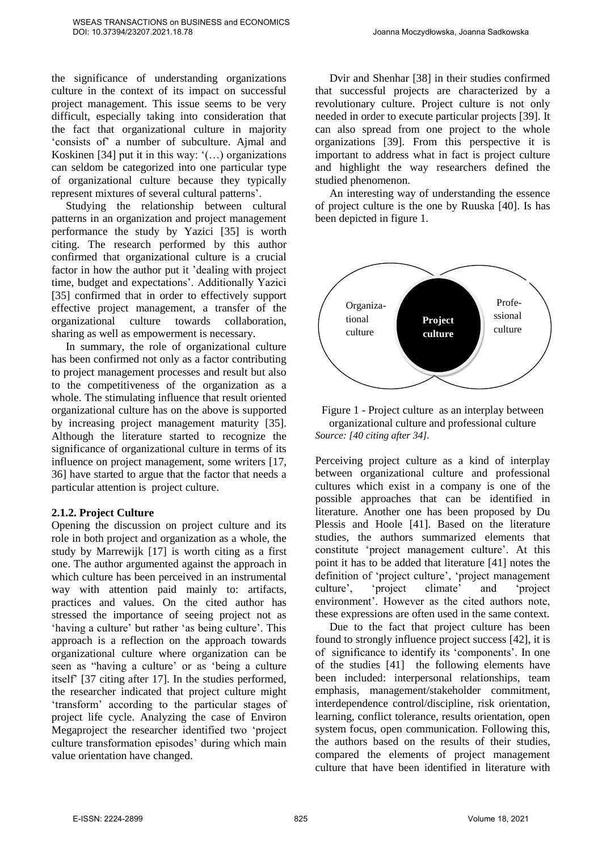the significance of understanding organizations culture in the context of its impact on successful project management. This issue seems to be very difficult, especially taking into consideration that the fact that organizational culture in majority 'consists of' a number of subculture. Ajmal and Koskinen [34] put it in this way:  $'(...)$  organizations can seldom be categorized into one particular type of organizational culture because they typically represent mixtures of several cultural patterns'.

Studying the relationship between cultural patterns in an organization and project management performance the study by Yazici [35] is worth citing. The research performed by this author confirmed that organizational culture is a crucial factor in how the author put it 'dealing with project time, budget and expectations'. Additionally Yazici [35] confirmed that in order to effectively support effective project management, a transfer of the organizational culture towards collaboration, sharing as well as empowerment is necessary.

In summary, the role of organizational culture has been confirmed not only as a factor contributing to project management processes and result but also to the competitiveness of the organization as a whole. The stimulating influence that result oriented organizational culture has on the above is supported by increasing project management maturity [35]. Although the literature started to recognize the significance of organizational culture in terms of its influence on project management, some writers [17, 36] have started to argue that the factor that needs a particular attention is project culture.

#### **2.1.2. Project Culture**

Opening the discussion on project culture and its role in both project and organization as a whole, the study by Marrewijk [17] is worth citing as a first one. The author argumented against the approach in which culture has been perceived in an instrumental way with attention paid mainly to: artifacts, practices and values. On the cited author has stressed the importance of seeing project not as 'having a culture' but rather 'as being culture'. This approach is a reflection on the approach towards organizational culture where organization can be seen as "having a culture' or as 'being a culture itself' [37 citing after 17]. In the studies performed, the researcher indicated that project culture might 'transform' according to the particular stages of project life cycle. Analyzing the case of Environ Megaproject the researcher identified two 'project culture transformation episodes' during which main value orientation have changed.

Dvir and Shenhar [38] in their studies confirmed that successful projects are characterized by a revolutionary culture. Project culture is not only needed in order to execute particular projects [39]. It can also spread from one project to the whole organizations [39]. From this perspective it is important to address what in fact is project culture and highlight the way researchers defined the studied phenomenon.

An interesting way of understanding the essence of project culture is the one by Ruuska [40]. Is has been depicted in figure 1.





Perceiving project culture as a kind of interplay between organizational culture and professional cultures which exist in a company is one of the possible approaches that can be identified in literature. Another one has been proposed by Du Plessis and Hoole [41]. Based on the literature studies, the authors summarized elements that constitute 'project management culture'. At this point it has to be added that literature [41] notes the definition of 'project culture', 'project management culture', 'project climate' and 'project environment'. However as the cited authors note, these expressions are often used in the same context.

Due to the fact that project culture has been found to strongly influence project success [42], it is of significance to identify its 'components'. In one of the studies [41] the following elements have been included: interpersonal relationships, team emphasis, management/stakeholder commitment, interdependence control/discipline, risk orientation, learning, conflict tolerance, results orientation, open system focus, open communication. Following this, the authors based on the results of their studies, compared the elements of project management culture that have been identified in literature with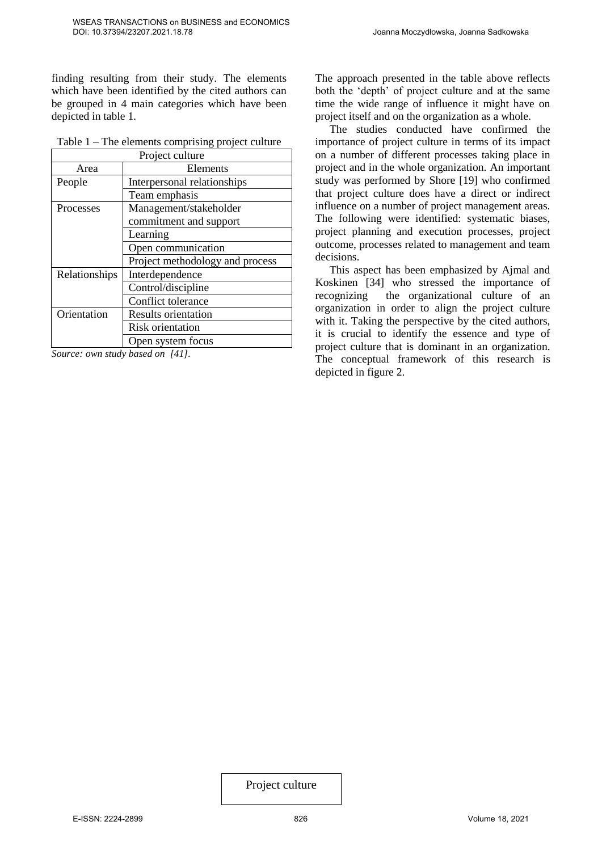finding resulting from their study. The elements which have been identified by the cited authors can be grouped in 4 main categories which have been depicted in table 1.

|  | Table $1$ – The elements comprising project culture |
|--|-----------------------------------------------------|
|  |                                                     |

| Project culture |                                 |  |  |
|-----------------|---------------------------------|--|--|
| Area            | Elements                        |  |  |
| People          | Interpersonal relationships     |  |  |
|                 | Team emphasis                   |  |  |
| Processes       | Management/stakeholder          |  |  |
|                 | commitment and support          |  |  |
|                 | Learning                        |  |  |
|                 | Open communication              |  |  |
|                 | Project methodology and process |  |  |
| Relationships   | Interdependence                 |  |  |
|                 | Control/discipline              |  |  |
|                 | Conflict tolerance              |  |  |
| Orientation     | <b>Results orientation</b>      |  |  |
|                 | <b>Risk orientation</b>         |  |  |
|                 | Open system focus               |  |  |

*Source: own study based on [41].* 

The approach presented in the table above reflects both the 'depth' of project culture and at the same time the wide range of influence it might have on project itself and on the organization as a whole.

The studies conducted have confirmed the importance of project culture in terms of its impact on a number of different processes taking place in project and in the whole organization. An important study was performed by Shore [19] who confirmed that project culture does have a direct or indirect influence on a number of project management areas. The following were identified: systematic biases, project planning and execution processes, project outcome, processes related to management and team decisions.

This aspect has been emphasized by Ajmal and Koskinen [34] who stressed the importance of recognizing the organizational culture of an organization in order to align the project culture with it. Taking the perspective by the cited authors, it is crucial to identify the essence and type of project culture that is dominant in an organization. The conceptual framework of this research is depicted in figure 2.

Project culture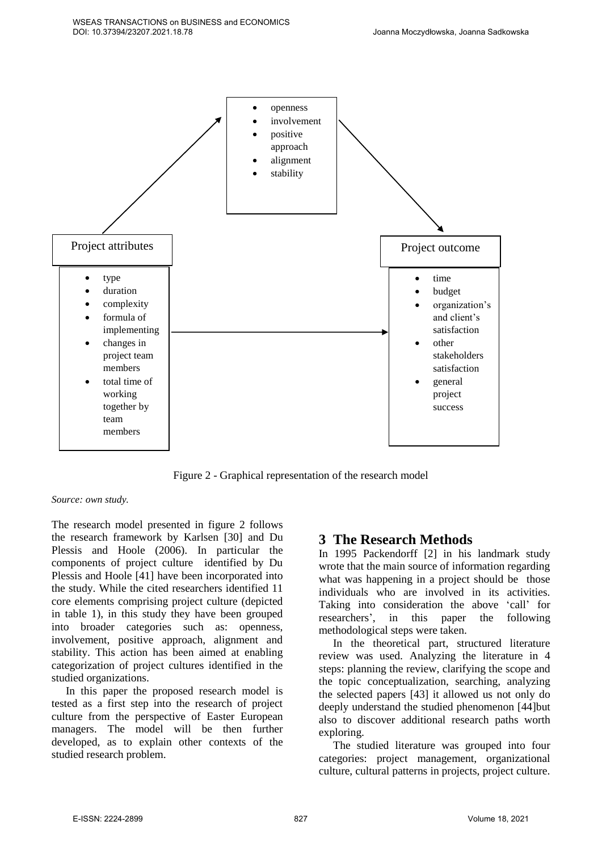

Figure 2 - Graphical representation of the research model

#### *Source: own study.*

The research model presented in figure 2 follows the research framework by Karlsen [30] and Du Plessis and Hoole (2006). In particular the components of project culture identified by Du Plessis and Hoole [41] have been incorporated into the study. While the cited researchers identified 11 core elements comprising project culture (depicted in table 1), in this study they have been grouped into broader categories such as: openness, involvement, positive approach, alignment and stability. This action has been aimed at enabling categorization of project cultures identified in the studied organizations.

In this paper the proposed research model is tested as a first step into the research of project culture from the perspective of Easter European managers. The model will be then further developed, as to explain other contexts of the studied research problem.

# **3 The Research Methods**

In 1995 Packendorff [2] in his landmark study wrote that the main source of information regarding what was happening in a project should be those individuals who are involved in its activities. Taking into consideration the above 'call' for researchers', in this paper the following methodological steps were taken.

In the theoretical part, structured literature review was used. Analyzing the literature in 4 steps: planning the review, clarifying the scope and the topic conceptualization, searching, analyzing the selected papers [43] it allowed us not only do deeply understand the studied phenomenon [44]but also to discover additional research paths worth exploring.

The studied literature was grouped into four categories: project management, organizational culture, cultural patterns in projects, project culture.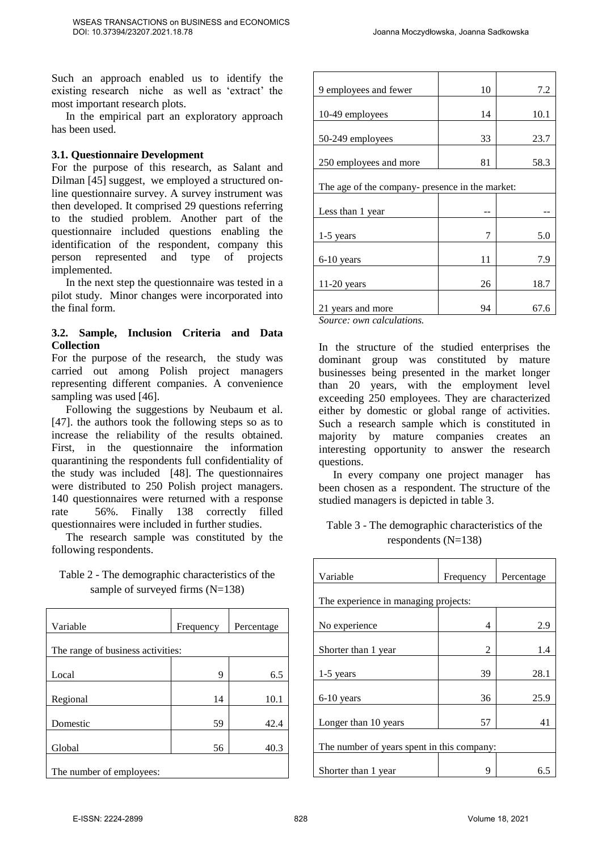Such an approach enabled us to identify the existing research niche as well as 'extract' the most important research plots.

In the empirical part an exploratory approach has been used.

### **3.1. Questionnaire Development**

For the purpose of this research, as Salant and Dilman [45] suggest, we employed a structured online questionnaire survey. A survey instrument was then developed. It comprised 29 questions referring to the studied problem. Another part of the questionnaire included questions enabling the identification of the respondent, company this person represented and type of projects implemented.

In the next step the questionnaire was tested in a pilot study. Minor changes were incorporated into the final form.

### **3.2. Sample, Inclusion Criteria and Data Collection**

For the purpose of the research, the study was carried out among Polish project managers representing different companies. A convenience sampling was used [46].

Following the suggestions by Neubaum et al. [47]. the authors took the following steps so as to increase the reliability of the results obtained. First, in the questionnaire the information quarantining the respondents full confidentiality of the study was included [48]. The questionnaires were distributed to 250 Polish project managers. 140 questionnaires were returned with a response rate 56%. Finally 138 correctly filled questionnaires were included in further studies.

The research sample was constituted by the following respondents.

Table 2 - The demographic characteristics of the sample of surveyed firms (N=138)

| Variable                          | Frequency | Percentage |
|-----------------------------------|-----------|------------|
| The range of business activities: |           |            |
| Local                             | 9         | 6.5        |
| Regional                          | 14        | 10.1       |
| Domestic                          | 59        | 42.4       |
| Global                            | 56        | 40.3       |
| The number of employees:          |           |            |

| 9 employees and fewer                           | 10 | 7.2  |
|-------------------------------------------------|----|------|
|                                                 |    |      |
| 10-49 employees                                 | 14 | 10.1 |
|                                                 |    |      |
| 50-249 employees                                | 33 | 23.7 |
|                                                 |    |      |
| 250 employees and more                          | 81 | 58.3 |
|                                                 |    |      |
| The age of the company- presence in the market: |    |      |
|                                                 |    |      |
| Less than 1 year                                |    |      |
|                                                 |    |      |
| $1-5$ years                                     | 7  | 5.0  |
|                                                 |    |      |
| 6-10 years                                      | 11 | 7.9  |
|                                                 |    |      |
| 11-20 years                                     | 26 | 18.7 |
|                                                 |    |      |
| 21 years and more                               | 94 | 67.6 |
| $\mathbf{v}$ $\mathbf{v}$ .<br>$\sim$           |    |      |

*Source: own calculations.* 

In the structure of the studied enterprises the dominant group was constituted by mature businesses being presented in the market longer than 20 years, with the employment level exceeding 250 employees. They are characterized either by domestic or global range of activities. Such a research sample which is constituted in majority by mature companies creates an interesting opportunity to answer the research questions.

In every company one project manager has been chosen as a respondent. The structure of the studied managers is depicted in table 3.

Table 3 - The demographic characteristics of the respondents  $(N=138)$ 

| Variable                                   | Frequency | Percentage |  |
|--------------------------------------------|-----------|------------|--|
|                                            |           |            |  |
| The experience in managing projects:       |           |            |  |
|                                            |           |            |  |
| No experience                              | 4         | 2.9        |  |
|                                            |           |            |  |
| Shorter than 1 year                        | 2         | 1.4        |  |
|                                            |           |            |  |
| $1-5$ years                                | 39        | 28.1       |  |
|                                            |           |            |  |
| 6-10 years                                 | 36        | 25.9       |  |
|                                            |           |            |  |
| Longer than 10 years                       | 57        | 41         |  |
|                                            |           |            |  |
| The number of years spent in this company: |           |            |  |
|                                            |           |            |  |
| Shorter than 1 year                        | Q         | 6.5        |  |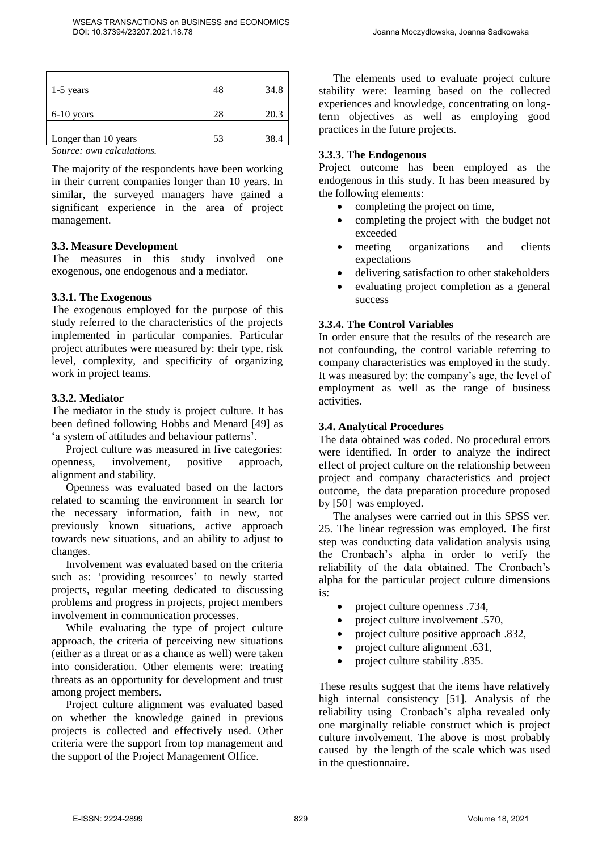| 1-5 years              |    | 34.8 |
|------------------------|----|------|
|                        |    |      |
| $6-10$ years           | 28 | 20.3 |
|                        |    |      |
| Longer than 10 years   | 53 | 38.4 |
| $\sim$<br>$\mathbf{r}$ |    |      |

*Source: own calculations.* 

The majority of the respondents have been working in their current companies longer than 10 years. In similar, the surveyed managers have gained a significant experience in the area of project management.

#### **3.3. Measure Development**

The measures in this study involved one exogenous, one endogenous and a mediator.

#### **3.3.1. The Exogenous**

The exogenous employed for the purpose of this study referred to the characteristics of the projects implemented in particular companies. Particular project attributes were measured by: their type, risk level, complexity, and specificity of organizing work in project teams.

#### **3.3.2. Mediator**

The mediator in the study is project culture. It has been defined following Hobbs and Menard [49] as 'a system of attitudes and behaviour patterns'.

Project culture was measured in five categories: openness, involvement, positive approach, alignment and stability.

Openness was evaluated based on the factors related to scanning the environment in search for the necessary information, faith in new, not previously known situations, active approach towards new situations, and an ability to adjust to changes.

Involvement was evaluated based on the criteria such as: 'providing resources' to newly started projects, regular meeting dedicated to discussing problems and progress in projects, project members involvement in communication processes.

While evaluating the type of project culture approach, the criteria of perceiving new situations (either as a threat or as a chance as well) were taken into consideration. Other elements were: treating threats as an opportunity for development and trust among project members.

Project culture alignment was evaluated based on whether the knowledge gained in previous projects is collected and effectively used. Other criteria were the support from top management and the support of the Project Management Office.

The elements used to evaluate project culture stability were: learning based on the collected experiences and knowledge, concentrating on longterm objectives as well as employing good practices in the future projects.

#### **3.3.3. The Endogenous**

Project outcome has been employed as the endogenous in this study. It has been measured by the following elements:

- completing the project on time,
- completing the project with the budget not exceeded
- meeting organizations and clients expectations
- delivering satisfaction to other stakeholders
- evaluating project completion as a general success

### **3.3.4. The Control Variables**

In order ensure that the results of the research are not confounding, the control variable referring to company characteristics was employed in the study. It was measured by: the company's age, the level of employment as well as the range of business activities.

### **3.4. Analytical Procedures**

The data obtained was coded. No procedural errors were identified. In order to analyze the indirect effect of project culture on the relationship between project and company characteristics and project outcome, the data preparation procedure proposed by [50] was employed.

The analyses were carried out in this SPSS ver. 25. The linear regression was employed. The first step was conducting data validation analysis using the Cronbach's alpha in order to verify the reliability of the data obtained. The Cronbach's alpha for the particular project culture dimensions is:

- project culture openness .734,
- project culture involvement .570,
- project culture positive approach .832,
- project culture alignment .631,
- project culture stability .835.

These results suggest that the items have relatively high internal consistency [51]. Analysis of the reliability using Cronbach's alpha revealed only one marginally reliable construct which is project culture involvement. The above is most probably caused by the length of the scale which was used in the questionnaire.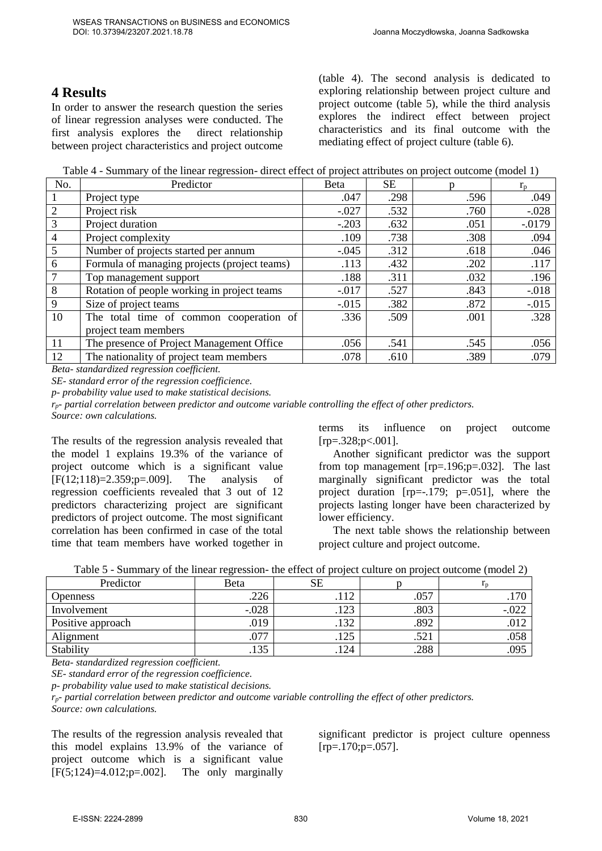# **4 Results**

In order to answer the research question the series of linear regression analyses were conducted. The first analysis explores the direct relationship between project characteristics and project outcome (table 4). The second analysis is dedicated to exploring relationship between project culture and project outcome (table 5), while the third analysis explores the indirect effect between project characteristics and its final outcome with the mediating effect of project culture (table 6).

Table 4 - Summary of the linear regression- direct effect of project attributes on project outcome (model 1)

| No. | Predictor                                    | Beta     | <b>SE</b> |      | $r_{\rm n}$ |
|-----|----------------------------------------------|----------|-----------|------|-------------|
|     | Project type                                 | .047     | .298      | .596 | .049        |
| 2   | Project risk                                 | $-0.027$ | .532      | .760 | $-.028$     |
| 3   | Project duration                             | $-.203$  | .632      | .051 | $-0.0179$   |
| 4   | Project complexity                           | .109     | .738      | .308 | .094        |
| 5   | Number of projects started per annum         | $-.045$  | .312      | .618 | .046        |
| 6   | Formula of managing projects (project teams) | .113     | .432      | .202 | .117        |
|     | Top management support                       | .188     | .311      | .032 | .196        |
| 8   | Rotation of people working in project teams  | $-0.017$ | .527      | .843 | $-.018$     |
| 9   | Size of project teams                        | $-0.015$ | .382      | .872 | $-.015$     |
| 10  | The total time of common cooperation of      | .336     | .509      | .001 | .328        |
|     | project team members                         |          |           |      |             |
| 11  | The presence of Project Management Office    | .056     | .541      | .545 | .056        |
| 12  | The nationality of project team members      | .078     | .610      | .389 | .079        |

*Beta- standardized regression coefficient.*

*SE- standard error of the regression coefficience.* 

*p- probability value used to make statistical decisions.* 

*rp- partial correlation between predictor and outcome variable controlling the effect of other predictors. Source: own calculations.*

The results of the regression analysis revealed that the model 1 explains 19.3% of the variance of project outcome which is a significant value [F(12;118)=2.359;p=.009]. The analysis of regression coefficients revealed that 3 out of 12 predictors characterizing project are significant predictors of project outcome. The most significant correlation has been confirmed in case of the total time that team members have worked together in

terms its influence on project outcome  $[rp=.328;p<.001]$ .

Another significant predictor was the support from top management [rp=.196;p=.032]. The last marginally significant predictor was the total project duration [rp=-.179; p=.051], where the projects lasting longer have been characterized by lower efficiency.

The next table shows the relationship between project culture and project outcome.

| Predictor         | Beta    | <b>SE</b> |      | Ιn      |
|-------------------|---------|-----------|------|---------|
| <b>Openness</b>   | .226    | .112      | .057 | .170    |
| Involvement       | $-.028$ | .123      | .803 | $-.022$ |
| Positive approach | .019    | .132      | .892 | .012    |
| Alignment         | .077    | .125      | .521 | .058    |
| Stability         | .135    | .124      | .288 | .095    |

*Beta- standardized regression coefficient.*

*SE- standard error of the regression coefficience.* 

*p- probability value used to make statistical decisions.* 

*rp- partial correlation between predictor and outcome variable controlling the effect of other predictors.*

*Source: own calculations.* 

The results of the regression analysis revealed that this model explains 13.9% of the variance of project outcome which is a significant value  $[F(5;124)=4.012;p=.002]$ . The only marginally

significant predictor is project culture openness  $[rp=.170;p=.057]$ .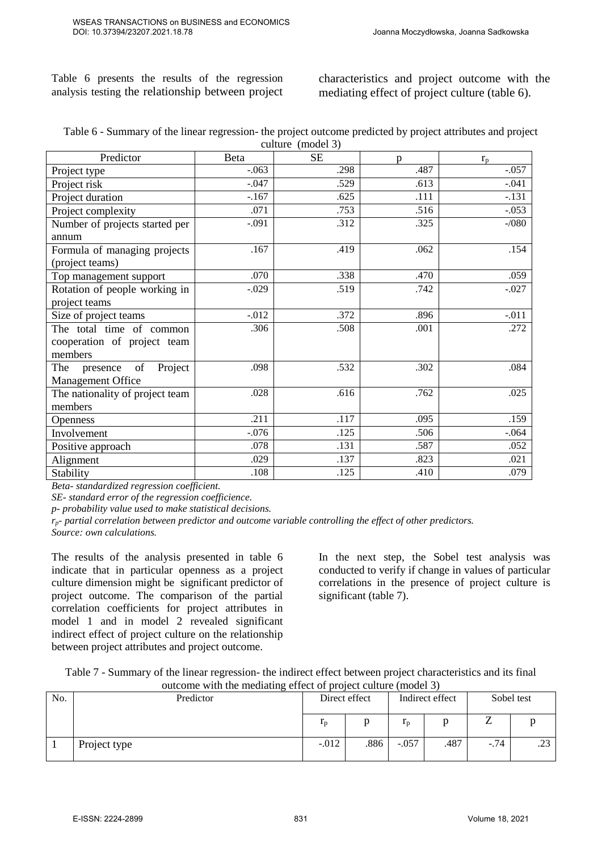Table 6 presents the results of the regression analysis testing the relationship between project

characteristics and project outcome with the mediating effect of project culture (table 6).

| Table 6 - Summary of the linear regression- the project outcome predicted by project attributes and project |  |
|-------------------------------------------------------------------------------------------------------------|--|
| culture (model 3)                                                                                           |  |

| Predictor                                                          | Beta     | <b>SE</b> | p    | $r_{\rm p}$ |
|--------------------------------------------------------------------|----------|-----------|------|-------------|
| Project type                                                       | $-.063$  | .298      | .487 | $-.057$     |
| Project risk                                                       | $-.047$  | .529      | .613 | $-.041$     |
| Project duration                                                   | $-167$   | .625      | .111 | $-.131$     |
| Project complexity                                                 | .071     | .753      | .516 | $-.053$     |
| Number of projects started per<br>annum                            | $-.091$  | .312      | .325 | $-1080$     |
| Formula of managing projects<br>(project teams)                    | .167     | .419      | .062 | .154        |
| Top management support                                             | .070     | .338      | .470 | .059        |
| Rotation of people working in                                      | $-.029$  | .519      | .742 | $-.027$     |
| project teams                                                      |          |           |      |             |
| Size of project teams                                              | $-0.012$ | .372      | .896 | $-.011$     |
| The total time of common<br>cooperation of project team<br>members | .306     | .508      | .001 | .272        |
| Project<br>of<br>The<br>presence<br>Management Office              | .098     | .532      | .302 | .084        |
| The nationality of project team<br>members                         | .028     | .616      | .762 | .025        |
| <b>Openness</b>                                                    | .211     | .117      | .095 | .159        |
| Involvement                                                        | $-.076$  | .125      | .506 | $-.064$     |
| Positive approach                                                  | .078     | .131      | .587 | .052        |
| Alignment                                                          | .029     | .137      | .823 | .021        |
| Stability                                                          | .108     | .125      | .410 | .079        |

*Beta- standardized regression coefficient.*

*SE- standard error of the regression coefficience.* 

*p- probability value used to make statistical decisions.* 

*rp- partial correlation between predictor and outcome variable controlling the effect of other predictors. Source: own calculations.* 

The results of the analysis presented in table 6 indicate that in particular openness as a project culture dimension might be significant predictor of project outcome. The comparison of the partial correlation coefficients for project attributes in model 1 and in model 2 revealed significant indirect effect of project culture on the relationship between project attributes and project outcome.

In the next step, the Sobel test analysis was conducted to verify if change in values of particular correlations in the presence of project culture is significant (table 7).

| Table 7 - Summary of the linear regression- the indirect effect between project characteristics and its final |
|---------------------------------------------------------------------------------------------------------------|
| outcome with the mediating effect of project culture (model 3)                                                |

|     | $\sim$       |               |      |                 |      |            |               |  |
|-----|--------------|---------------|------|-----------------|------|------------|---------------|--|
| No. | Predictor    | Direct effect |      | Indirect effect |      | Sobel test |               |  |
|     |              | $r_{p}$       |      | 1n              |      |            |               |  |
|     | Project type | $-.012$       | .886 | $-.057$         | .487 | $-.74$     | $\sim$<br>۔ ک |  |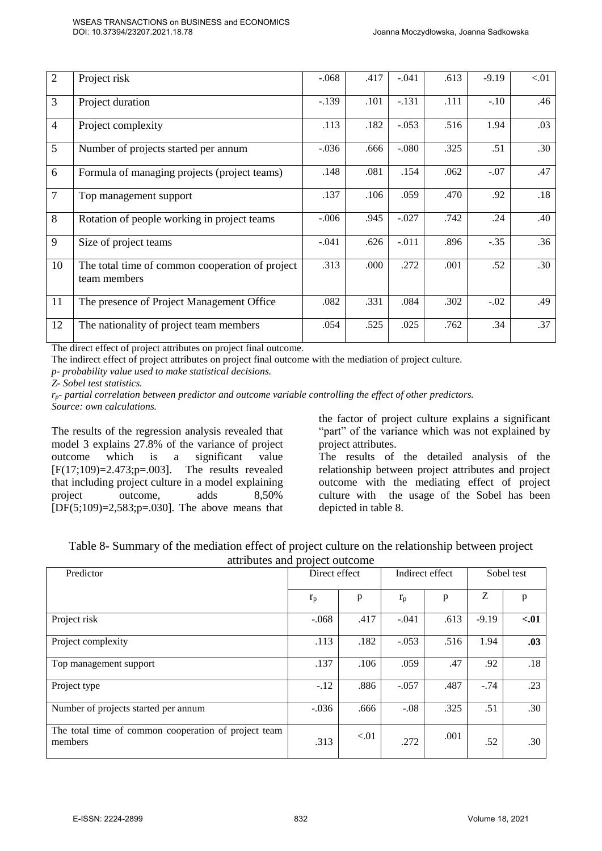| $\overline{2}$ | Project risk                                                    | $-.068$ | .417 | $-.041$ | .613 | $-9.19$ | < 01 |
|----------------|-----------------------------------------------------------------|---------|------|---------|------|---------|------|
| 3              | Project duration                                                | $-.139$ | .101 | $-.131$ | .111 | $-.10$  | .46  |
| $\overline{4}$ | Project complexity                                              | .113    | .182 | $-.053$ | .516 | 1.94    | .03  |
| 5              | Number of projects started per annum                            | $-.036$ | .666 | $-.080$ | .325 | .51     | .30  |
| 6              | Formula of managing projects (project teams)                    | .148    | .081 | .154    | .062 | $-.07$  | .47  |
| $\overline{7}$ | Top management support                                          | .137    | .106 | .059    | .470 | .92     | .18  |
| 8              | Rotation of people working in project teams                     | $-.006$ | .945 | $-.027$ | .742 | .24     | .40  |
| 9              | Size of project teams                                           | $-.041$ | .626 | $-.011$ | .896 | $-.35$  | .36  |
| 10             | The total time of common cooperation of project<br>team members | .313    | .000 | .272    | .001 | .52     | .30  |
| 11             | The presence of Project Management Office                       | .082    | .331 | .084    | .302 | $-.02$  | .49  |
| 12             | The nationality of project team members                         | .054    | .525 | .025    | .762 | .34     | .37  |

The direct effect of project attributes on project final outcome.

The indirect effect of project attributes on project final outcome with the mediation of project culture.

*p- probability value used to make statistical decisions.* 

*Z- Sobel test statistics.* 

*rp- partial correlation between predictor and outcome variable controlling the effect of other predictors. Source: own calculations.* 

The results of the regression analysis revealed that model 3 explains 27.8% of the variance of project outcome which is a significant value [F(17;109)=2.473;p=.003]. The results revealed that including project culture in a model explaining project outcome, adds 8,50%  $[DF(5;109)=2,583;p=.030]$ . The above means that

the factor of project culture explains a significant "part" of the variance which was not explained by project attributes.

The results of the detailed analysis of the relationship between project attributes and project outcome with the mediating effect of project culture with the usage of the Sobel has been depicted in table 8.

| Table 8- Summary of the mediation effect of project culture on the relationship between project |                                  |  |  |  |
|-------------------------------------------------------------------------------------------------|----------------------------------|--|--|--|
|                                                                                                 | ottailantes and message outcomes |  |  |  |

| auributes and project outcome                                   |               |      |                 |      |            |        |
|-----------------------------------------------------------------|---------------|------|-----------------|------|------------|--------|
| Predictor                                                       | Direct effect |      | Indirect effect |      | Sobel test |        |
|                                                                 | $r_{\rm p}$   | p    | $r_{\rm p}$     | p    | Z          | p      |
| Project risk                                                    | $-.068$       | .417 | $-.041$         | .613 | $-9.19$    | $-.01$ |
| Project complexity                                              | .113          | .182 | $-.053$         | .516 | 1.94       | .03    |
| Top management support                                          | .137          | .106 | .059            | .47  | .92        | .18    |
| Project type                                                    | $-.12$        | .886 | $-.057$         | .487 | $-.74$     | .23    |
| Number of projects started per annum                            | $-.036$       | .666 | $-.08$          | .325 | .51        | .30    |
| The total time of common cooperation of project team<br>members | .313          | < 01 | .272            | .001 | .52        | .30    |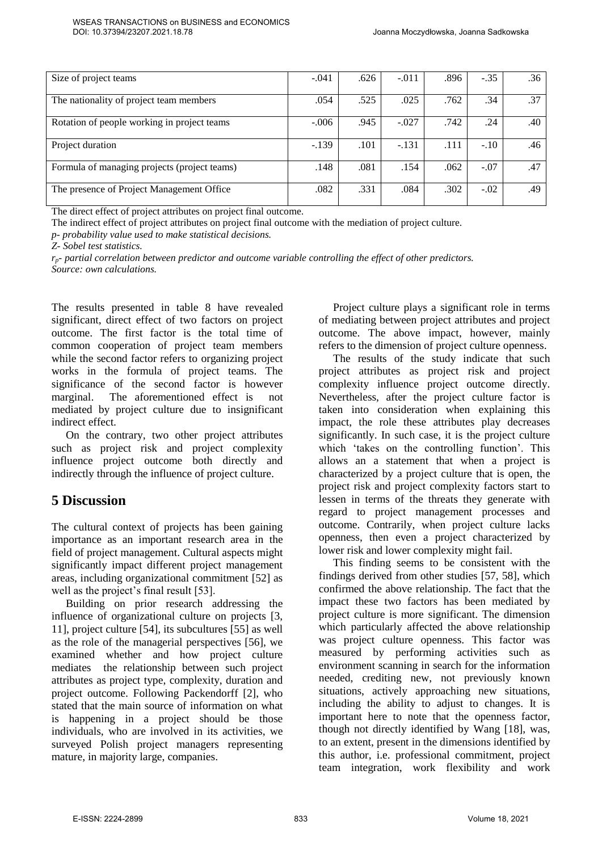| Size of project teams                        | $-.041$ | .626 | $-.011$ | .896 | $-.35$ | .36 |
|----------------------------------------------|---------|------|---------|------|--------|-----|
| The nationality of project team members      | .054    | .525 | .025    | .762 | .34    | .37 |
|                                              |         |      |         |      |        |     |
| Rotation of people working in project teams  | $-.006$ | .945 | $-.027$ | .742 | .24    | .40 |
|                                              |         |      |         |      |        |     |
| Project duration                             | $-.139$ | .101 | $-.131$ | .111 | $-.10$ | .46 |
|                                              |         |      |         |      |        |     |
| Formula of managing projects (project teams) | .148    | .081 | .154    | .062 | $-.07$ | .47 |
| The presence of Project Management Office    | .082    | .331 | .084    | .302 | $-.02$ | .49 |
|                                              |         |      |         |      |        |     |

The direct effect of project attributes on project final outcome.

The indirect effect of project attributes on project final outcome with the mediation of project culture.

*p- probability value used to make statistical decisions.* 

*Z- Sobel test statistics.* 

*rp- partial correlation between predictor and outcome variable controlling the effect of other predictors. Source: own calculations.* 

The results presented in table 8 have revealed significant, direct effect of two factors on project outcome. The first factor is the total time of common cooperation of project team members while the second factor refers to organizing project works in the formula of project teams. The significance of the second factor is however marginal. The aforementioned effect is not mediated by project culture due to insignificant indirect effect.

On the contrary, two other project attributes such as project risk and project complexity influence project outcome both directly and indirectly through the influence of project culture.

# **5 Discussion**

The cultural context of projects has been gaining importance as an important research area in the field of project management. Cultural aspects might significantly impact different project management areas, including organizational commitment [52] as well as the project's final result [53].

Building on prior research addressing the influence of organizational culture on projects [3, 11], project culture [54], its subcultures [55] as well as the role of the managerial perspectives [56], we examined whether and how project culture mediates the relationship between such project attributes as project type, complexity, duration and project outcome. Following Packendorff [2], who stated that the main source of information on what is happening in a project should be those individuals, who are involved in its activities, we surveyed Polish project managers representing mature, in majority large, companies.

Project culture plays a significant role in terms of mediating between project attributes and project outcome. The above impact, however, mainly refers to the dimension of project culture openness.

The results of the study indicate that such project attributes as project risk and project complexity influence project outcome directly. Nevertheless, after the project culture factor is taken into consideration when explaining this impact, the role these attributes play decreases significantly. In such case, it is the project culture which 'takes on the controlling function'. This allows an a statement that when a project is characterized by a project culture that is open, the project risk and project complexity factors start to lessen in terms of the threats they generate with regard to project management processes and outcome. Contrarily, when project culture lacks openness, then even a project characterized by lower risk and lower complexity might fail.

This finding seems to be consistent with the findings derived from other studies [57, 58], which confirmed the above relationship. The fact that the impact these two factors has been mediated by project culture is more significant. The dimension which particularly affected the above relationship was project culture openness. This factor was measured by performing activities such as environment scanning in search for the information needed, crediting new, not previously known situations, actively approaching new situations, including the ability to adjust to changes. It is important here to note that the openness factor, though not directly identified by Wang [18], was, to an extent, present in the dimensions identified by this author, i.e. professional commitment, project team integration, work flexibility and work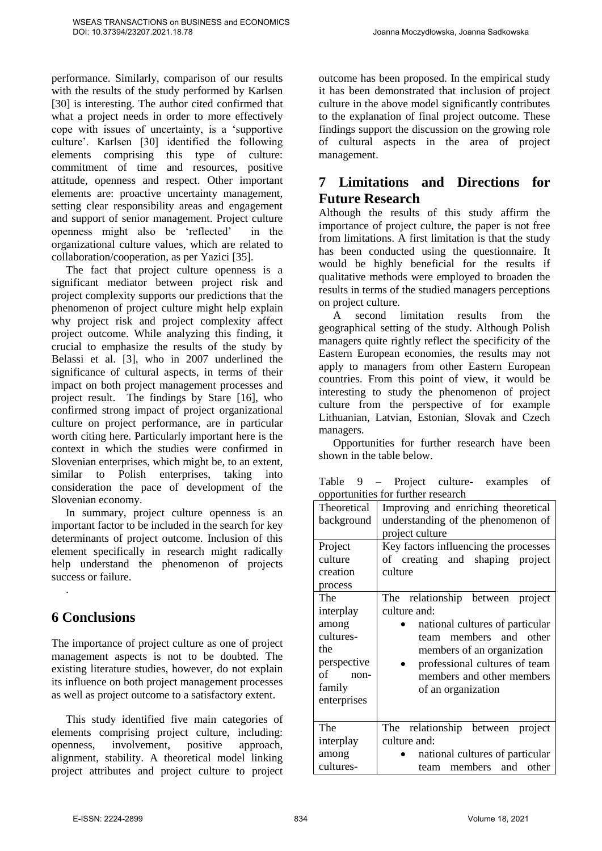performance. Similarly, comparison of our results with the results of the study performed by Karlsen [30] is interesting. The author cited confirmed that what a project needs in order to more effectively cope with issues of uncertainty, is a 'supportive culture'. Karlsen [30] identified the following elements comprising this type of culture: commitment of time and resources, positive attitude, openness and respect. Other important elements are: proactive uncertainty management, setting clear responsibility areas and engagement and support of senior management. Project culture openness might also be 'reflected' in the organizational culture values, which are related to collaboration/cooperation, as per Yazici [35].

The fact that project culture openness is a significant mediator between project risk and project complexity supports our predictions that the phenomenon of project culture might help explain why project risk and project complexity affect project outcome. While analyzing this finding, it crucial to emphasize the results of the study by Belassi et al. [3], who in 2007 underlined the significance of cultural aspects, in terms of their impact on both project management processes and project result. The findings by Stare [16], who confirmed strong impact of project organizational culture on project performance, are in particular worth citing here. Particularly important here is the context in which the studies were confirmed in Slovenian enterprises, which might be, to an extent, similar to Polish enterprises, taking into consideration the pace of development of the Slovenian economy.

In summary, project culture openness is an important factor to be included in the search for key determinants of project outcome. Inclusion of this element specifically in research might radically help understand the phenomenon of projects success or failure.

# **6 Conclusions**

.

The importance of project culture as one of project management aspects is not to be doubted. The existing literature studies, however, do not explain its influence on both project management processes as well as project outcome to a satisfactory extent.

This study identified five main categories of elements comprising project culture, including: openness, involvement, positive approach, alignment, stability. A theoretical model linking project attributes and project culture to project outcome has been proposed. In the empirical study it has been demonstrated that inclusion of project culture in the above model significantly contributes to the explanation of final project outcome. These findings support the discussion on the growing role of cultural aspects in the area of project management.

# **7 Limitations and Directions for Future Research**

Although the results of this study affirm the importance of project culture, the paper is not free from limitations. A first limitation is that the study has been conducted using the questionnaire. It would be highly beneficial for the results if qualitative methods were employed to broaden the results in terms of the studied managers perceptions on project culture.

A second limitation results from the geographical setting of the study. Although Polish managers quite rightly reflect the specificity of the Eastern European economies, the results may not apply to managers from other Eastern European countries. From this point of view, it would be interesting to study the phenomenon of project culture from the perspective of for example Lithuanian, Latvian, Estonian, Slovak and Czech managers.

Opportunities for further research have been shown in the table below.

|  |                                    | Table 9 – Project culture- examples of |  |
|--|------------------------------------|----------------------------------------|--|
|  | opportunities for further research |                                        |  |

| <b>Theoretical</b><br>background | Improving and enriching theoretical<br>understanding of the phenomenon of<br>project culture |
|----------------------------------|----------------------------------------------------------------------------------------------|
| Project                          | Key factors influencing the processes                                                        |
| culture                          | of creating and shaping project                                                              |
| creation                         | culture                                                                                      |
| process                          |                                                                                              |
| The                              | The relationship between<br>project                                                          |
| interplay                        | culture and:                                                                                 |
| among                            | national cultures of particular                                                              |
| cultures-                        | team members and other                                                                       |
| the                              | members of an organization                                                                   |
| perspective                      | professional cultures of team                                                                |
| of non-                          | members and other members                                                                    |
| family                           | of an organization                                                                           |
| enterprises                      |                                                                                              |
|                                  |                                                                                              |
| The                              | The relationship between<br>project                                                          |
| interplay                        | culture and:                                                                                 |
| among                            | national cultures of particular                                                              |
| cultures-                        | members and other<br>team                                                                    |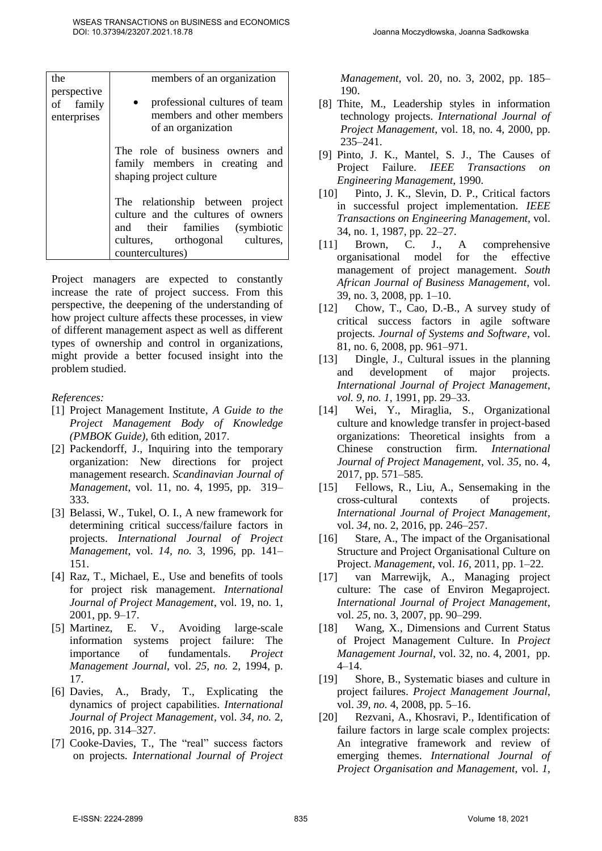| the                                     | members of an organization                                                                                                                                    |
|-----------------------------------------|---------------------------------------------------------------------------------------------------------------------------------------------------------------|
| perspective<br>of family<br>enterprises | professional cultures of team<br>members and other members<br>of an organization                                                                              |
|                                         | The role of business owners and<br>family members in creating and<br>shaping project culture                                                                  |
|                                         | The relationship between project<br>culture and the cultures of owners<br>and their families (symbiotic<br>cultures, orthogonal cultures,<br>countercultures) |

Project managers are expected to constantly increase the rate of project success. From this perspective, the deepening of the understanding of how project culture affects these processes, in view of different management aspect as well as different types of ownership and control in organizations, might provide a better focused insight into the problem studied.

*References:* 

- [1] Project Management Institute, *A Guide to the Project Management Body of Knowledge (PMBOK Guide),* 6th edition, 2017.
- [2] Packendorff, J., Inquiring into the temporary organization: New directions for project management research. *Scandinavian Journal of Management*, vol. 11, no. 4, 1995, pp. 319– 333.
- [3] Belassi, W., Tukel, O. I., A new framework for determining critical success/failure factors in projects. *International Journal of Project Management*, vol. *14, no.* 3, 1996, pp. 141– 151.
- [4] Raz, T., Michael, E., Use and benefits of tools for project risk management. *International Journal of Project Management*, vol. 19, no. 1, 2001, pp. 9–17.
- [5] Martinez, E. V., Avoiding large-scale information systems project failure: The importance of fundamentals. *Project Management Journal*, vol. *25, no.* 2, 1994, p. 17.
- [6] Davies, A., Brady, T., Explicating the dynamics of project capabilities. *International Journal of Project Management*, vol. *34, no.* 2, 2016, pp. 314–327.
- [7] Cooke-Davies, T., The "real" success factors on projects. *International Journal of Project*

*Management*, vol. 20, no. 3, 2002, pp. 185– 190.

- [8] Thite, M., Leadership styles in information technology projects. *International Journal of Project Management*, vol. 18, no. 4, 2000, pp. 235–241.
- [9] Pinto, J. K., Mantel, S. J., The Causes of Project Failure. *IEEE Transactions on Engineering Management*, 1990.
- [10] Pinto, J. K., Slevin, D. P., Critical factors in successful project implementation. *IEEE Transactions on Engineering Management*, vol. 34, no. 1, 1987, pp. 22–27.
- [11] Brown, C. J., A comprehensive organisational model for the effective management of project management. *South African Journal of Business Management*, vol. 39, no. 3, 2008, pp. 1–10.
- [12] Chow, T., Cao, D.-B., A survey study of critical success factors in agile software projects. *Journal of Systems and Software*, vol. 81, no. 6, 2008, pp. 961–971.
- [13] Dingle, J., Cultural issues in the planning and development of major projects. *International Journal of Project Management*, *vol. 9, no. 1*, 1991, pp. 29–33.
- [14] Wei, Y., Miraglia, S., Organizational culture and knowledge transfer in project-based organizations: Theoretical insights from a Chinese construction firm. *International Journal of Project Management*, vol. *35,* no. 4, 2017, pp. 571–585.
- [15] Fellows, R., Liu, A., Sensemaking in the cross-cultural contexts of projects. *International Journal of Project Management*, vol. *34,* no. 2, 2016, pp. 246–257.
- [16] Stare, A., The impact of the Organisational Structure and Project Organisational Culture on Project. *Management*, vol. *16*, 2011, pp. 1–22.
- [17] van Marrewijk, A., Managing project culture: The case of Environ Megaproject. *International Journal of Project Management*, vol. *25,* no. 3, 2007, pp. 90–299.
- [18] Wang, X., Dimensions and Current Status of Project Management Culture. In *Project Management Journal*, vol. 32, no. 4, 2001, pp. 4–14.
- [19] Shore, B., Systematic biases and culture in project failures. *Project Management Journal*, vol. *39, no.* 4, 2008, pp. 5–16.
- [20] Rezvani, A., Khosravi, P., Identification of failure factors in large scale complex projects: An integrative framework and review of emerging themes. *International Journal of Project Organisation and Management*, vol. *1*,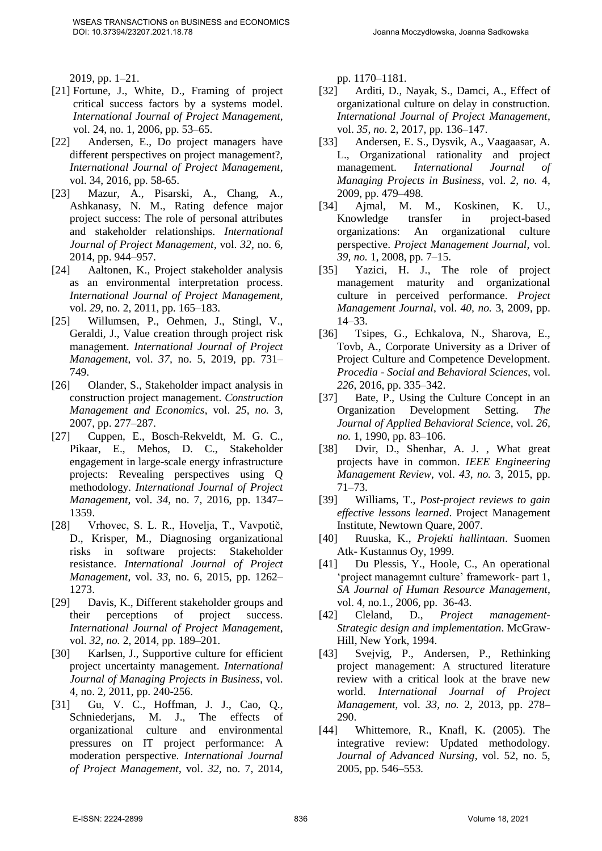2019, pp. 1–21.

- [21] Fortune, J., White, D., Framing of project critical success factors by a systems model. *International Journal of Project Management*, vol. 24, no. 1, 2006, pp. 53–65.
- [22] Andersen, E., Do project managers have different perspectives on project management?, *International Journal of Project Management*, vol. 34, 2016, pp. 58-65.
- [23] Mazur, A., Pisarski, A., Chang, A., Ashkanasy, N. M., Rating defence major project success: The role of personal attributes and stakeholder relationships. *International Journal of Project Management*, vol. *32,* no. 6, 2014, pp. 944–957.
- [24] Aaltonen, K., Project stakeholder analysis as an environmental interpretation process. *International Journal of Project Management*, vol. *29,* no. 2, 2011, pp. 165–183.
- [25] Willumsen, P., Oehmen, J., Stingl, V., Geraldi, J., Value creation through project risk management. *International Journal of Project Management*, vol. *37,* no. 5, 2019, pp. 731– 749.
- [26] Olander, S., Stakeholder impact analysis in construction project management. *Construction Management and Economics*, vol. *25, no.* 3, 2007, pp. 277–287.
- [27] Cuppen, E., Bosch-Rekveldt, M. G. C., Pikaar, E., Mehos, D. C., Stakeholder engagement in large-scale energy infrastructure projects: Revealing perspectives using Q methodology. *International Journal of Project Management*, vol. *34,* no. 7, 2016, pp. 1347– 1359.
- [28] Vrhovec, S. L. R., Hovelja, T., Vavpotič, D., Krisper, M., Diagnosing organizational risks in software projects: Stakeholder resistance. *International Journal of Project Management*, vol. *33,* no. 6, 2015, pp. 1262– 1273.
- [29] Davis, K., Different stakeholder groups and their perceptions of project success. *International Journal of Project Management*, vol. *32, no.* 2, 2014, pp. 189–201.
- [30] Karlsen, J., Supportive culture for efficient project uncertainty management. *International Journal of Managing Projects in Business*, vol. 4, no. 2, 2011, pp. 240-256.
- [31] Gu, V. C., Hoffman, J. J., Cao, Q., Schniederjans, M. J., The effects of organizational culture and environmental pressures on IT project performance: A moderation perspective. *International Journal of Project Management*, vol. *32,* no. 7, 2014,

pp. 1170–1181.

- [32] Arditi, D., Nayak, S., Damci, A., Effect of organizational culture on delay in construction. *International Journal of Project Management*, vol. *35, no.* 2, 2017, pp. 136–147.
- [33] Andersen, E. S., Dysvik, A., Vaagaasar, A. L., Organizational rationality and project management. *International Journal of Managing Projects in Business*, vol. *2, no.* 4, 2009, pp. 479–498.
- [34] Ajmal, M. M., Koskinen, K. U., Knowledge transfer in project-based organizations: An organizational culture perspective. *Project Management Journal*, vol. *39, no.* 1, 2008, pp. 7–15.
- [35] Yazici, H. J., The role of project management maturity and organizational culture in perceived performance. *Project Management Journal*, vol. *40, no.* 3, 2009, pp. 14–33.
- [36] Tsipes, G., Echkalova, N., Sharova, E., Tovb, A., Corporate University as a Driver of Project Culture and Competence Development. *Procedia - Social and Behavioral Sciences*, vol. *226*, 2016, pp. 335–342.
- [37] Bate, P., Using the Culture Concept in an Organization Development Setting. *The Journal of Applied Behavioral Science*, vol. *26, no.* 1, 1990, pp. 83–106.
- [38] Dvir, D., Shenhar, A. J., What great projects have in common. *IEEE Engineering Management Review*, vol. *43, no.* 3, 2015, pp. 71–73.
- [39] Williams, T., *Post-project reviews to gain effective lessons learned*. Project Management Institute, Newtown Quare, 2007.
- [40] Ruuska, K., *Projekti hallintaan*. Suomen Atk- Kustannus Oy, 1999.
- [41] Du Plessis, Y., Hoole, C., An operational 'project managemnt culture' framework- part 1, *SA Journal of Human Resource Management*, vol. 4, no.1., 2006, pp. 36-43.
- [42] Cleland, D., *Project management-Strategic design and implementation*. McGraw-Hill, New York, 1994.
- [43] Svejvig, P., Andersen, P., Rethinking project management: A structured literature review with a critical look at the brave new world. *International Journal of Project Management*, vol. *33, no.* 2, 2013, pp. 278– 290.
- [44] Whittemore, R., Knafl, K. (2005). The integrative review: Updated methodology. *Journal of Advanced Nursing*, vol. 52, no. 5, 2005, pp. 546–553.